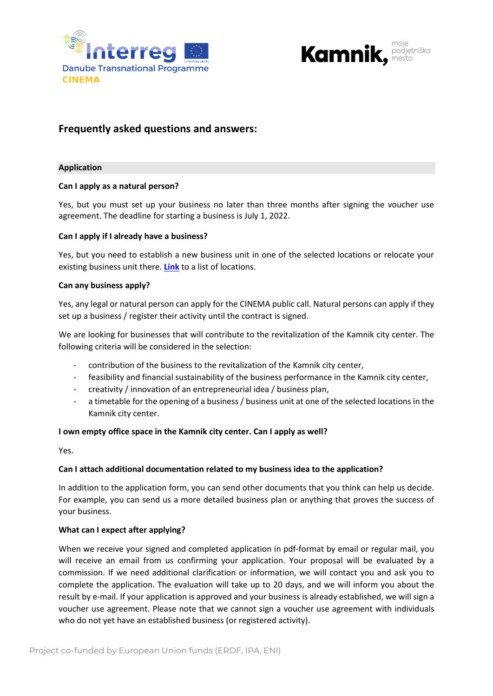



# **Frequently asked questions and answers:**

#### **Application**

### **Can I apply as a natural person?**

Yes, but you must set up your business no later than three months after signing the voucher use agreement. The deadline for starting a business is July 1, 2022.

#### **Can I apply if I already have a business?**

Yes, but you need to establish a new business unit in one of the selected locations or relocate your existing business unit there. **[Link](http://podjetnisko-mesto.si/prostor-kjer-vasa-podjetniska-ideja-dozori/)** to a list of locations.

#### **Can any business apply?**

Yes, any legal or natural person can apply for the CINEMA public call. Natural persons can apply if they set up a business / register their activity until the contract is signed.

We are looking for businesses that will contribute to the revitalization of the Kamnik city center. The following criteria will be considered in the selection:

- contribution of the business to the revitalization of the Kamnik city center,
- feasibility and financial sustainability of the business performance in the Kamnik city center,
- creativity / innovation of an entrepreneurial idea / business plan,
- a timetable for the opening of a business / business unit at one of the selected locations in the Kamnik city center.

### **I own empty office space in the Kamnik city center. Can I apply as well?**

Yes.

### **Can I attach additional documentation related to my business idea to the application?**

In addition to the application form, you can send other documents that you think can help us decide. For example, you can send us a more detailed business plan or anything that proves the success of your business.

### **What can I expect after applying?**

When we receive your signed and completed application in pdf-format by email or regular mail, you will receive an email from us confirming your application. Your proposal will be evaluated by a commission. If we need additional clarification or information, we will contact you and ask you to complete the application. The evaluation will take up to 20 days, and we will inform you about the result by e-mail. If your application is approved and your business is already established, we will sign a voucher use agreement. Please note that we cannot sign a voucher use agreement with individuals who do not yet have an established business (or registered activity).